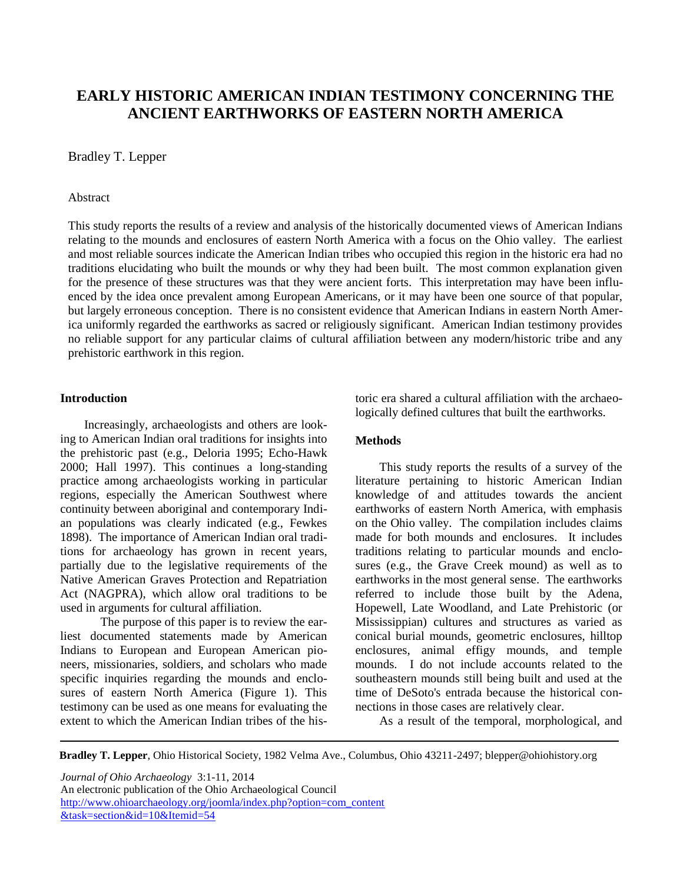# **EARLY HISTORIC AMERICAN INDIAN TESTIMONY CONCERNING THE ANCIENT EARTHWORKS OF EASTERN NORTH AMERICA**

## Bradley T. Lepper

### Abstract

This study reports the results of a review and analysis of the historically documented views of American Indians relating to the mounds and enclosures of eastern North America with a focus on the Ohio valley. The earliest and most reliable sources indicate the American Indian tribes who occupied this region in the historic era had no traditions elucidating who built the mounds or why they had been built. The most common explanation given for the presence of these structures was that they were ancient forts. This interpretation may have been influenced by the idea once prevalent among European Americans, or it may have been one source of that popular, but largely erroneous conception. There is no consistent evidence that American Indians in eastern North America uniformly regarded the earthworks as sacred or religiously significant. American Indian testimony provides no reliable support for any particular claims of cultural affiliation between any modern/historic tribe and any prehistoric earthwork in this region.

# **Introduction**

Increasingly, archaeologists and others are looking to American Indian oral traditions for insights into the prehistoric past (e.g., Deloria 1995; Echo-Hawk 2000; Hall 1997). This continues a long-standing practice among archaeologists working in particular regions, especially the American Southwest where continuity between aboriginal and contemporary Indian populations was clearly indicated (e.g., Fewkes 1898). The importance of American Indian oral traditions for archaeology has grown in recent years, partially due to the legislative requirements of the Native American Graves Protection and Repatriation Act (NAGPRA), which allow oral traditions to be used in arguments for cultural affiliation.

The purpose of this paper is to review the earliest documented statements made by American Indians to European and European American pioneers, missionaries, soldiers, and scholars who made specific inquiries regarding the mounds and enclosures of eastern North America (Figure 1). This testimony can be used as one means for evaluating the extent to which the American Indian tribes of the historic era shared a cultural affiliation with the archaeologically defined cultures that built the earthworks.

# **Methods**

This study reports the results of a survey of the literature pertaining to historic American Indian knowledge of and attitudes towards the ancient earthworks of eastern North America, with emphasis on the Ohio valley. The compilation includes claims made for both mounds and enclosures. It includes traditions relating to particular mounds and enclosures (e.g., the Grave Creek mound) as well as to earthworks in the most general sense. The earthworks referred to include those built by the Adena, Hopewell, Late Woodland, and Late Prehistoric (or Mississippian) cultures and structures as varied as conical burial mounds, geometric enclosures, hilltop enclosures, animal effigy mounds, and temple mounds. I do not include accounts related to the southeastern mounds still being built and used at the time of DeSoto's entrada because the historical connections in those cases are relatively clear.

As a result of the temporal, morphological, and

**Bradley T. Lepper**, Ohio Historical Society, 1982 Velma Ave., Columbus, Ohio 43211-2497; blepper@ohiohistory.org

*Journal of Ohio Archaeology* 3:1-11, 2014 An electronic publication of the Ohio Archaeological Council [http://www.ohioarchaeology.org/joomla/index.php?option=com\\_content](http://www.ohioarchaeology.org/joomla/index.php?option=com_content&task=section&id=10&Itemid=54) [&task=section&id=10&Itemid=54](http://www.ohioarchaeology.org/joomla/index.php?option=com_content&task=section&id=10&Itemid=54)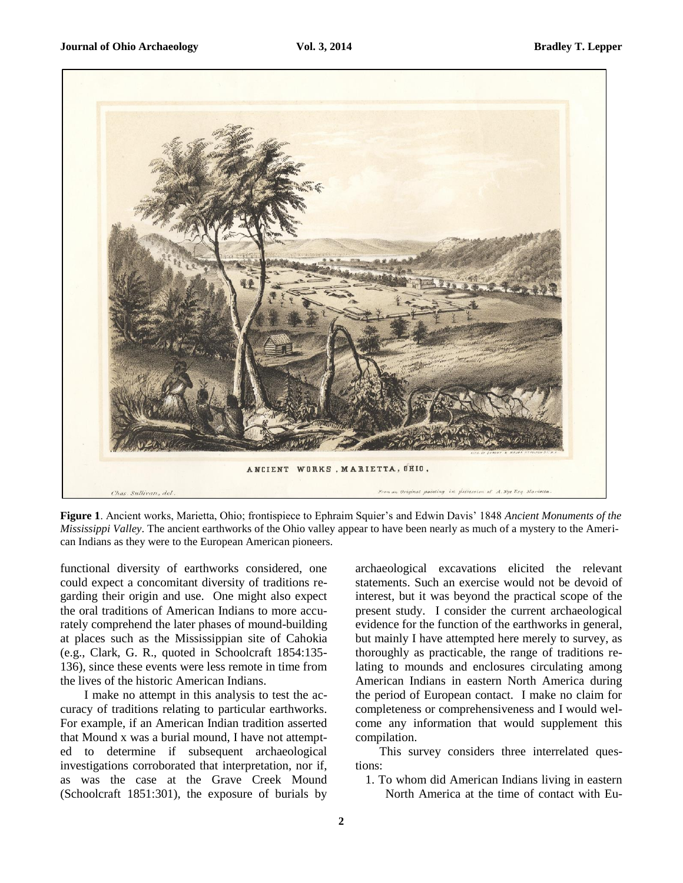

**Figure 1**. Ancient works, Marietta, Ohio; frontispiece to Ephraim Squier's and Edwin Davis' 1848 *Ancient Monuments of the Mississippi Valley*. The ancient earthworks of the Ohio valley appear to have been nearly as much of a mystery to the American Indians as they were to the European American pioneers.

functional diversity of earthworks considered, one could expect a concomitant diversity of traditions regarding their origin and use. One might also expect the oral traditions of American Indians to more accurately comprehend the later phases of mound-building at places such as the Mississippian site of Cahokia (e.g., Clark, G. R., quoted in Schoolcraft 1854:135- 136), since these events were less remote in time from the lives of the historic American Indians.

I make no attempt in this analysis to test the accuracy of traditions relating to particular earthworks. For example, if an American Indian tradition asserted that Mound x was a burial mound, I have not attempted to determine if subsequent archaeological investigations corroborated that interpretation, nor if, as was the case at the Grave Creek Mound (Schoolcraft 1851:301), the exposure of burials by archaeological excavations elicited the relevant statements. Such an exercise would not be devoid of interest, but it was beyond the practical scope of the present study. I consider the current archaeological evidence for the function of the earthworks in general, but mainly I have attempted here merely to survey, as thoroughly as practicable, the range of traditions relating to mounds and enclosures circulating among American Indians in eastern North America during the period of European contact. I make no claim for completeness or comprehensiveness and I would welcome any information that would supplement this compilation.

This survey considers three interrelated questions:

1. To whom did American Indians living in eastern North America at the time of contact with Eu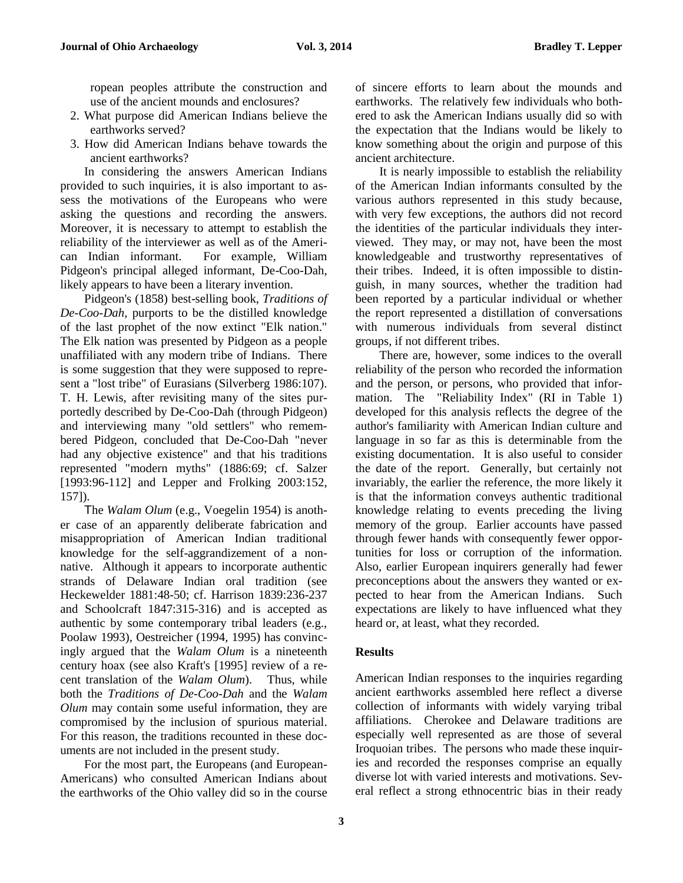ropean peoples attribute the construction and use of the ancient mounds and enclosures?

- 2. What purpose did American Indians believe the earthworks served?
- 3. How did American Indians behave towards the ancient earthworks?

In considering the answers American Indians provided to such inquiries, it is also important to assess the motivations of the Europeans who were asking the questions and recording the answers. Moreover, it is necessary to attempt to establish the reliability of the interviewer as well as of the American Indian informant. For example, William Pidgeon's principal alleged informant, De-Coo-Dah, likely appears to have been a literary invention.

Pidgeon's (1858) best-selling book, *Traditions of De-Coo-Dah*, purports to be the distilled knowledge of the last prophet of the now extinct "Elk nation." The Elk nation was presented by Pidgeon as a people unaffiliated with any modern tribe of Indians. There is some suggestion that they were supposed to represent a "lost tribe" of Eurasians (Silverberg 1986:107). T. H. Lewis, after revisiting many of the sites purportedly described by De-Coo-Dah (through Pidgeon) and interviewing many "old settlers" who remembered Pidgeon, concluded that De-Coo-Dah "never had any objective existence" and that his traditions represented "modern myths" (1886:69; cf. Salzer [1993:96-112] and Lepper and Frolking 2003:152, 157]).

The *Walam Olum* (e.g., Voegelin 1954) is another case of an apparently deliberate fabrication and misappropriation of American Indian traditional knowledge for the self-aggrandizement of a nonnative. Although it appears to incorporate authentic strands of Delaware Indian oral tradition (see Heckewelder 1881:48-50; cf. Harrison 1839:236-237 and Schoolcraft 1847:315-316) and is accepted as authentic by some contemporary tribal leaders (e.g., Poolaw 1993), Oestreicher (1994, 1995) has convincingly argued that the *Walam Olum* is a nineteenth century hoax (see also Kraft's [1995] review of a recent translation of the *Walam Olum*). Thus, while both the *Traditions of De-Coo-Dah* and the *Walam Olum* may contain some useful information, they are compromised by the inclusion of spurious material. For this reason, the traditions recounted in these documents are not included in the present study.

For the most part, the Europeans (and European-Americans) who consulted American Indians about the earthworks of the Ohio valley did so in the course

of sincere efforts to learn about the mounds and earthworks. The relatively few individuals who bothered to ask the American Indians usually did so with the expectation that the Indians would be likely to know something about the origin and purpose of this ancient architecture.

It is nearly impossible to establish the reliability of the American Indian informants consulted by the various authors represented in this study because, with very few exceptions, the authors did not record the identities of the particular individuals they interviewed. They may, or may not, have been the most knowledgeable and trustworthy representatives of their tribes. Indeed, it is often impossible to distinguish, in many sources, whether the tradition had been reported by a particular individual or whether the report represented a distillation of conversations with numerous individuals from several distinct groups, if not different tribes.

There are, however, some indices to the overall reliability of the person who recorded the information and the person, or persons, who provided that information. The "Reliability Index" (RI in Table 1) developed for this analysis reflects the degree of the author's familiarity with American Indian culture and language in so far as this is determinable from the existing documentation. It is also useful to consider the date of the report. Generally, but certainly not invariably, the earlier the reference, the more likely it is that the information conveys authentic traditional knowledge relating to events preceding the living memory of the group. Earlier accounts have passed through fewer hands with consequently fewer opportunities for loss or corruption of the information. Also, earlier European inquirers generally had fewer preconceptions about the answers they wanted or expected to hear from the American Indians. Such expectations are likely to have influenced what they heard or, at least, what they recorded.

# **Results**

American Indian responses to the inquiries regarding ancient earthworks assembled here reflect a diverse collection of informants with widely varying tribal affiliations. Cherokee and Delaware traditions are especially well represented as are those of several Iroquoian tribes. The persons who made these inquiries and recorded the responses comprise an equally diverse lot with varied interests and motivations. Several reflect a strong ethnocentric bias in their ready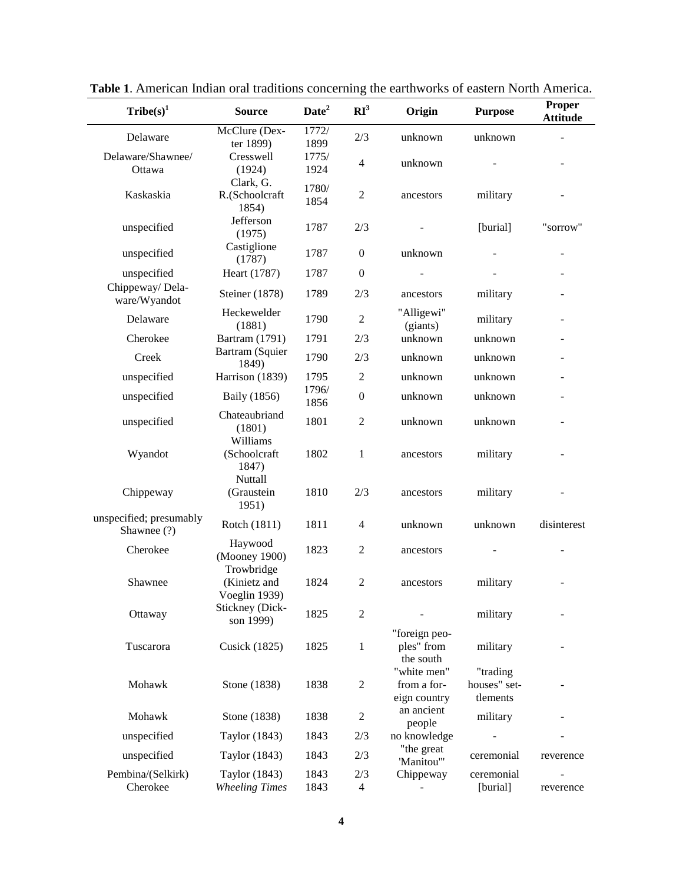| $\text{Triple}(s)^1$                   | <b>Source</b>                          | Date <sup>2</sup> | RI <sup>3</sup>  | Origin                                     | <b>Purpose</b>                       | Proper<br><b>Attitude</b> |
|----------------------------------------|----------------------------------------|-------------------|------------------|--------------------------------------------|--------------------------------------|---------------------------|
| Delaware                               | McClure (Dex-<br>ter 1899)             | 1772/<br>1899     | 2/3              | unknown                                    | unknown                              |                           |
| Delaware/Shawnee/<br>Ottawa            | Cresswell<br>(1924)                    | 1775/<br>1924     | 4                | unknown                                    |                                      |                           |
| Kaskaskia                              | Clark, G.<br>R.(Schoolcraft<br>1854)   | 1780/<br>1854     | $\overline{2}$   | ancestors                                  | military                             |                           |
| unspecified                            | Jefferson<br>(1975)                    | 1787              | 2/3              |                                            | [burial]                             | "sorrow"                  |
| unspecified                            | Castiglione<br>(1787)                  | 1787              | $\boldsymbol{0}$ | unknown                                    |                                      |                           |
| unspecified                            | Heart (1787)                           | 1787              | $\boldsymbol{0}$ |                                            |                                      |                           |
| Chippeway/ Dela-<br>ware/Wyandot       | Steiner (1878)                         | 1789              | 2/3              | ancestors                                  | military                             |                           |
| Delaware                               | Heckewelder<br>(1881)                  | 1790              | $\overline{c}$   | "Alligewi"<br>(giants)                     | military                             |                           |
| Cherokee                               | Bartram (1791)                         | 1791              | 2/3              | unknown                                    | unknown                              |                           |
| Creek                                  | Bartram (Squier<br>1849)               | 1790              | 2/3              | unknown                                    | unknown                              |                           |
| unspecified                            | Harrison (1839)                        | 1795              | $\mathfrak{2}$   | unknown                                    | unknown                              |                           |
| unspecified                            | Baily (1856)                           | 1796/<br>1856     | $\boldsymbol{0}$ | unknown                                    | unknown                              |                           |
| unspecified                            | Chateaubriand<br>(1801)<br>Williams    | 1801              | $\mathfrak{2}$   | unknown                                    | unknown                              |                           |
| Wyandot                                | (Schoolcraft<br>1847)<br>Nuttall       | 1802              | $\mathbf{1}$     | ancestors                                  | military                             |                           |
| Chippeway                              | (Graustein<br>1951)                    | 1810              | 2/3              | ancestors                                  | military                             |                           |
| unspecified; presumably<br>Shawnee (?) | Rotch (1811)                           | 1811              | 4                | unknown                                    | unknown                              | disinterest               |
| Cherokee                               | Haywood<br>(Mooney 1900)<br>Trowbridge | 1823              | $\overline{2}$   | ancestors                                  |                                      |                           |
| Shawnee                                | (Kinietz and<br>Voeglin 1939)          | 1824              | $\mathfrak{2}$   | ancestors                                  | military                             |                           |
| Ottaway                                | Stickney (Dick-<br>son 1999)           | 1825              | $\overline{2}$   |                                            | military                             |                           |
| Tuscarora                              | <b>Cusick</b> (1825)                   | 1825              | $\mathbf{1}$     | "foreign peo-<br>ples" from<br>the south   | military                             |                           |
| Mohawk                                 | Stone (1838)                           | 1838              | $\overline{c}$   | "white men"<br>from a for-<br>eign country | "trading<br>houses" set-<br>tlements |                           |
| Mohawk                                 | Stone (1838)                           | 1838              | $\boldsymbol{2}$ | an ancient<br>people                       | military                             |                           |
| unspecified                            | Taylor (1843)                          | 1843              | 2/3              | no knowledge                               |                                      |                           |
| unspecified                            | Taylor (1843)                          | 1843              | 2/3              | "the great<br>'Manitou'"                   | ceremonial                           | reverence                 |
| Pembina/(Selkirk)<br>Cherokee          | Taylor (1843)<br><b>Wheeling Times</b> | 1843<br>1843      | 2/3<br>4         | Chippeway                                  | ceremonial<br>[burial]               | reverence                 |

**Table 1**. American Indian oral traditions concerning the earthworks of eastern North America.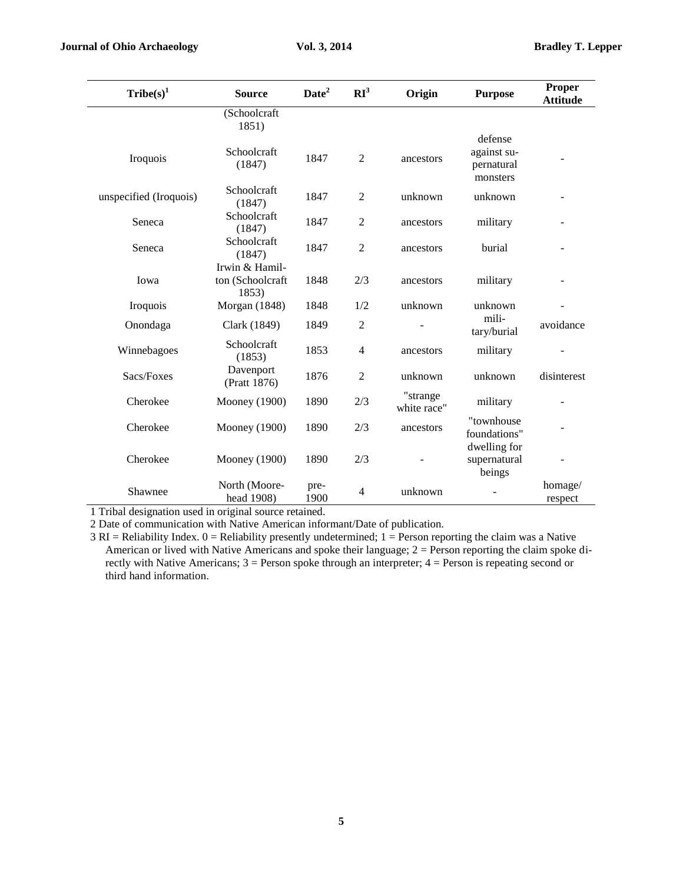| Tribe(s) <sup>1</sup>  | <b>Source</b>                               | Date <sup>2</sup> | RI <sup>3</sup> | Origin                  | <b>Purpose</b>                         | Proper<br><b>Attitude</b> |
|------------------------|---------------------------------------------|-------------------|-----------------|-------------------------|----------------------------------------|---------------------------|
|                        | (Schoolcraft                                |                   |                 |                         |                                        |                           |
|                        | 1851)                                       |                   |                 |                         | defense                                |                           |
| Iroquois               | Schoolcraft<br>(1847)                       | 1847              | $\overline{2}$  | ancestors               | against su-<br>pernatural<br>monsters  |                           |
| unspecified (Iroquois) | Schoolcraft<br>(1847)                       | 1847              | 2               | unknown                 | unknown                                |                           |
| Seneca                 | Schoolcraft<br>(1847)                       | 1847              | $\mathfrak{2}$  | ancestors               | military                               |                           |
| Seneca                 | Schoolcraft<br>(1847)                       | 1847              | $\overline{c}$  | ancestors               | burial                                 |                           |
| Iowa                   | Irwin & Hamil-<br>ton (Schoolcraft<br>1853) | 1848              | 2/3             | ancestors               | military                               |                           |
| Iroquois               | Morgan (1848)                               | 1848              | 1/2             | unknown                 | unknown                                |                           |
| Onondaga               | Clark (1849)                                | 1849              | 2               |                         | mili-<br>tary/burial                   | avoidance                 |
| Winnebagoes            | Schoolcraft<br>(1853)                       | 1853              | 4               | ancestors               | military                               |                           |
| Sacs/Foxes             | Davenport<br>(Pratt 1876)                   | 1876              | $\overline{c}$  | unknown                 | unknown                                | disinterest               |
| Cherokee               | <b>Mooney</b> (1900)                        | 1890              | 2/3             | "strange<br>white race" | military                               |                           |
| Cherokee               | <b>Mooney</b> (1900)                        | 1890              | 2/3             | ancestors               | "townhouse<br>foundations"             |                           |
| Cherokee               | <b>Mooney</b> (1900)                        | 1890              | 2/3             |                         | dwelling for<br>supernatural<br>beings |                           |
| Shawnee                | North (Moore-<br>head 1908)                 | pre-<br>1900      | 4               | unknown                 |                                        | homage/<br>respect        |

1 Tribal designation used in original source retained.

2 Date of communication with Native American informant/Date of publication.

 $3$  RI = Reliability Index.  $0$  = Reliability presently undetermined;  $1$  = Person reporting the claim was a Native American or lived with Native Americans and spoke their language; 2 = Person reporting the claim spoke directly with Native Americans; 3 = Person spoke through an interpreter; 4 = Person is repeating second or third hand information.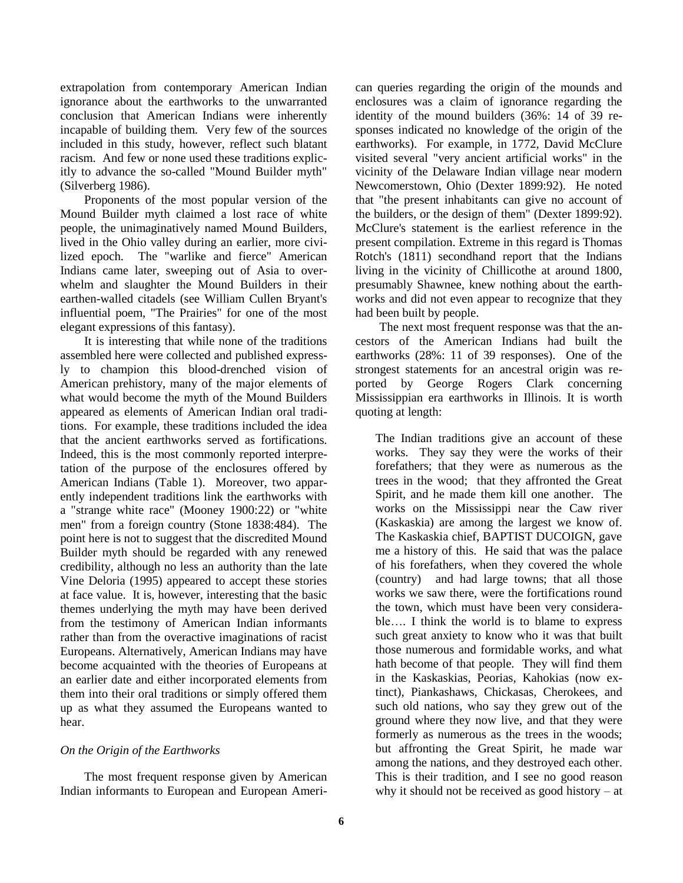extrapolation from contemporary American Indian ignorance about the earthworks to the unwarranted conclusion that American Indians were inherently incapable of building them. Very few of the sources included in this study, however, reflect such blatant racism. And few or none used these traditions explicitly to advance the so-called "Mound Builder myth" (Silverberg 1986).

Proponents of the most popular version of the Mound Builder myth claimed a lost race of white people, the unimaginatively named Mound Builders, lived in the Ohio valley during an earlier, more civilized epoch. The "warlike and fierce" American Indians came later, sweeping out of Asia to overwhelm and slaughter the Mound Builders in their earthen-walled citadels (see William Cullen Bryant's influential poem, "The Prairies" for one of the most elegant expressions of this fantasy).

It is interesting that while none of the traditions assembled here were collected and published expressly to champion this blood-drenched vision of American prehistory, many of the major elements of what would become the myth of the Mound Builders appeared as elements of American Indian oral traditions. For example, these traditions included the idea that the ancient earthworks served as fortifications. Indeed, this is the most commonly reported interpretation of the purpose of the enclosures offered by American Indians (Table 1). Moreover, two apparently independent traditions link the earthworks with a "strange white race" (Mooney 1900:22) or "white men" from a foreign country (Stone 1838:484). The point here is not to suggest that the discredited Mound Builder myth should be regarded with any renewed credibility, although no less an authority than the late Vine Deloria (1995) appeared to accept these stories at face value. It is, however, interesting that the basic themes underlying the myth may have been derived from the testimony of American Indian informants rather than from the overactive imaginations of racist Europeans. Alternatively, American Indians may have become acquainted with the theories of Europeans at an earlier date and either incorporated elements from them into their oral traditions or simply offered them up as what they assumed the Europeans wanted to hear.

# *On the Origin of the Earthworks*

The most frequent response given by American Indian informants to European and European American queries regarding the origin of the mounds and enclosures was a claim of ignorance regarding the identity of the mound builders (36%: 14 of 39 responses indicated no knowledge of the origin of the earthworks). For example, in 1772, David McClure visited several "very ancient artificial works" in the vicinity of the Delaware Indian village near modern Newcomerstown, Ohio (Dexter 1899:92). He noted that "the present inhabitants can give no account of the builders, or the design of them" (Dexter 1899:92). McClure's statement is the earliest reference in the present compilation. Extreme in this regard is Thomas Rotch's (1811) secondhand report that the Indians living in the vicinity of Chillicothe at around 1800, presumably Shawnee, knew nothing about the earthworks and did not even appear to recognize that they had been built by people.

The next most frequent response was that the ancestors of the American Indians had built the earthworks (28%: 11 of 39 responses). One of the strongest statements for an ancestral origin was reported by George Rogers Clark concerning Mississippian era earthworks in Illinois. It is worth quoting at length:

The Indian traditions give an account of these works. They say they were the works of their forefathers; that they were as numerous as the trees in the wood; that they affronted the Great Spirit, and he made them kill one another. The works on the Mississippi near the Caw river (Kaskaskia) are among the largest we know of. The Kaskaskia chief, BAPTIST DUCOIGN, gave me a history of this. He said that was the palace of his forefathers, when they covered the whole (country) and had large towns; that all those works we saw there, were the fortifications round the town, which must have been very considerable…. I think the world is to blame to express such great anxiety to know who it was that built those numerous and formidable works, and what hath become of that people. They will find them in the Kaskaskias, Peorias, Kahokias (now extinct), Piankashaws, Chickasas, Cherokees, and such old nations, who say they grew out of the ground where they now live, and that they were formerly as numerous as the trees in the woods; but affronting the Great Spirit, he made war among the nations, and they destroyed each other. This is their tradition, and I see no good reason why it should not be received as good history – at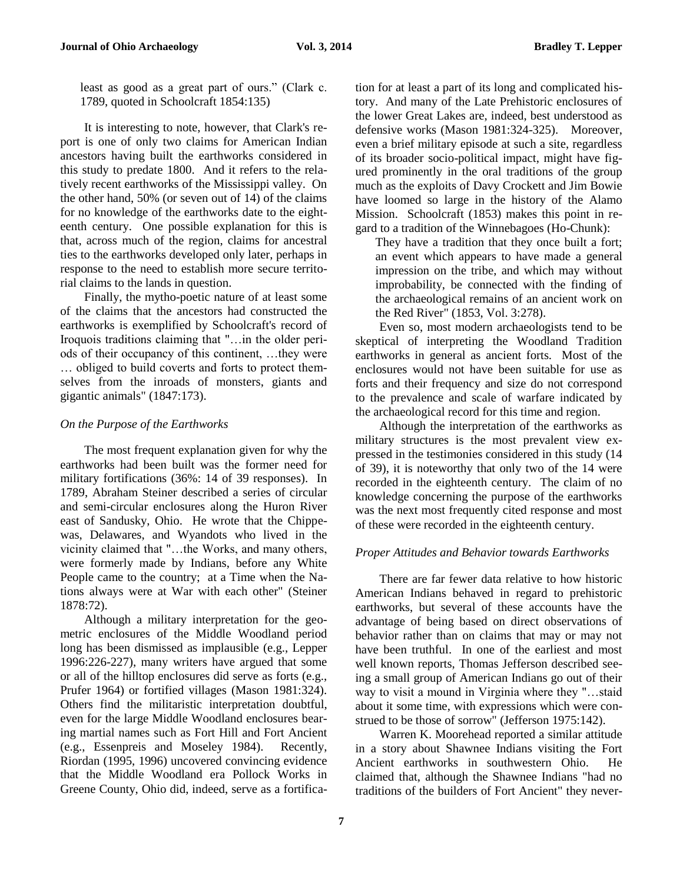least as good as a great part of ours." (Clark c. 1789, quoted in Schoolcraft 1854:135)

It is interesting to note, however, that Clark's report is one of only two claims for American Indian ancestors having built the earthworks considered in this study to predate 1800. And it refers to the relatively recent earthworks of the Mississippi valley. On the other hand, 50% (or seven out of 14) of the claims for no knowledge of the earthworks date to the eighteenth century. One possible explanation for this is that, across much of the region, claims for ancestral ties to the earthworks developed only later, perhaps in response to the need to establish more secure territorial claims to the lands in question.

Finally, the mytho-poetic nature of at least some of the claims that the ancestors had constructed the earthworks is exemplified by Schoolcraft's record of Iroquois traditions claiming that "…in the older periods of their occupancy of this continent, …they were … obliged to build coverts and forts to protect themselves from the inroads of monsters, giants and gigantic animals" (1847:173).

# *On the Purpose of the Earthworks*

The most frequent explanation given for why the earthworks had been built was the former need for military fortifications (36%: 14 of 39 responses). In 1789, Abraham Steiner described a series of circular and semi-circular enclosures along the Huron River east of Sandusky, Ohio. He wrote that the Chippewas, Delawares, and Wyandots who lived in the vicinity claimed that "…the Works, and many others, were formerly made by Indians, before any White People came to the country; at a Time when the Nations always were at War with each other" (Steiner 1878:72).

Although a military interpretation for the geometric enclosures of the Middle Woodland period long has been dismissed as implausible (e.g., Lepper 1996:226-227), many writers have argued that some or all of the hilltop enclosures did serve as forts (e.g., Prufer 1964) or fortified villages (Mason 1981:324). Others find the militaristic interpretation doubtful, even for the large Middle Woodland enclosures bearing martial names such as Fort Hill and Fort Ancient (e.g., Essenpreis and Moseley 1984). Recently, Riordan (1995, 1996) uncovered convincing evidence that the Middle Woodland era Pollock Works in Greene County, Ohio did, indeed, serve as a fortification for at least a part of its long and complicated history. And many of the Late Prehistoric enclosures of the lower Great Lakes are, indeed, best understood as defensive works (Mason 1981:324-325). Moreover, even a brief military episode at such a site, regardless of its broader socio-political impact, might have figured prominently in the oral traditions of the group much as the exploits of Davy Crockett and Jim Bowie have loomed so large in the history of the Alamo Mission. Schoolcraft (1853) makes this point in regard to a tradition of the Winnebagoes (Ho-Chunk):

They have a tradition that they once built a fort; an event which appears to have made a general impression on the tribe, and which may without improbability, be connected with the finding of the archaeological remains of an ancient work on the Red River" (1853, Vol. 3:278).

Even so, most modern archaeologists tend to be skeptical of interpreting the Woodland Tradition earthworks in general as ancient forts. Most of the enclosures would not have been suitable for use as forts and their frequency and size do not correspond to the prevalence and scale of warfare indicated by the archaeological record for this time and region.

Although the interpretation of the earthworks as military structures is the most prevalent view expressed in the testimonies considered in this study (14 of 39), it is noteworthy that only two of the 14 were recorded in the eighteenth century. The claim of no knowledge concerning the purpose of the earthworks was the next most frequently cited response and most of these were recorded in the eighteenth century.

# *Proper Attitudes and Behavior towards Earthworks*

There are far fewer data relative to how historic American Indians behaved in regard to prehistoric earthworks, but several of these accounts have the advantage of being based on direct observations of behavior rather than on claims that may or may not have been truthful. In one of the earliest and most well known reports, Thomas Jefferson described seeing a small group of American Indians go out of their way to visit a mound in Virginia where they "…staid about it some time, with expressions which were construed to be those of sorrow" (Jefferson 1975:142).

Warren K. Moorehead reported a similar attitude in a story about Shawnee Indians visiting the Fort Ancient earthworks in southwestern Ohio. He claimed that, although the Shawnee Indians "had no traditions of the builders of Fort Ancient" they never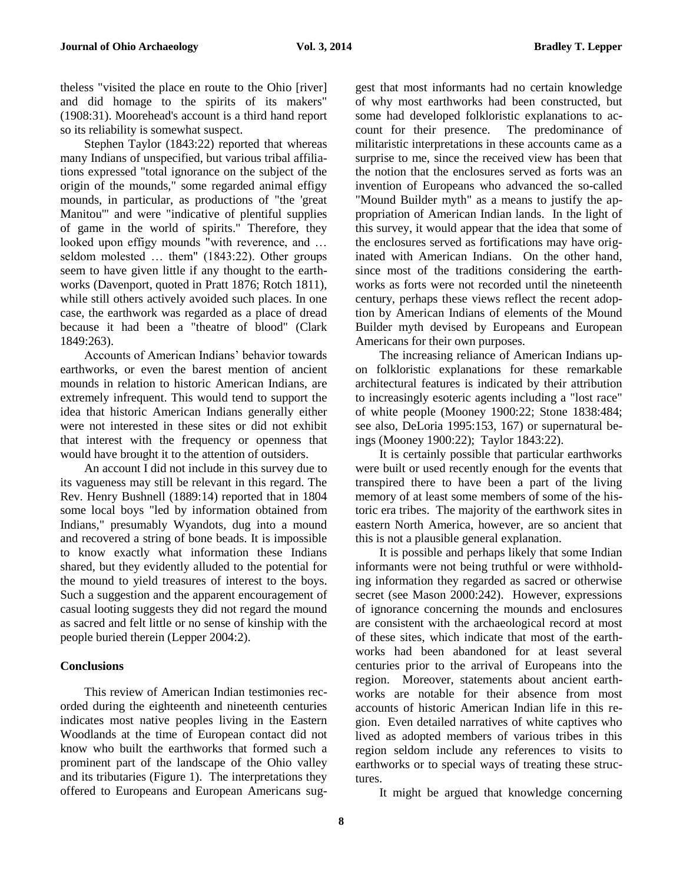theless "visited the place en route to the Ohio [river] and did homage to the spirits of its makers" (1908:31). Moorehead's account is a third hand report so its reliability is somewhat suspect.

Stephen Taylor (1843:22) reported that whereas many Indians of unspecified, but various tribal affiliations expressed "total ignorance on the subject of the origin of the mounds," some regarded animal effigy mounds, in particular, as productions of "the 'great Manitou'" and were "indicative of plentiful supplies of game in the world of spirits." Therefore, they looked upon effigy mounds "with reverence, and … seldom molested … them" (1843:22). Other groups seem to have given little if any thought to the earthworks (Davenport, quoted in Pratt 1876; Rotch 1811), while still others actively avoided such places. In one case, the earthwork was regarded as a place of dread because it had been a "theatre of blood" (Clark 1849:263).

Accounts of American Indians' behavior towards earthworks, or even the barest mention of ancient mounds in relation to historic American Indians, are extremely infrequent. This would tend to support the idea that historic American Indians generally either were not interested in these sites or did not exhibit that interest with the frequency or openness that would have brought it to the attention of outsiders.

An account I did not include in this survey due to its vagueness may still be relevant in this regard. The Rev. Henry Bushnell (1889:14) reported that in 1804 some local boys "led by information obtained from Indians," presumably Wyandots, dug into a mound and recovered a string of bone beads. It is impossible to know exactly what information these Indians shared, but they evidently alluded to the potential for the mound to yield treasures of interest to the boys. Such a suggestion and the apparent encouragement of casual looting suggests they did not regard the mound as sacred and felt little or no sense of kinship with the people buried therein (Lepper 2004:2).

### **Conclusions**

This review of American Indian testimonies recorded during the eighteenth and nineteenth centuries indicates most native peoples living in the Eastern Woodlands at the time of European contact did not know who built the earthworks that formed such a prominent part of the landscape of the Ohio valley and its tributaries (Figure 1). The interpretations they offered to Europeans and European Americans suggest that most informants had no certain knowledge of why most earthworks had been constructed, but some had developed folkloristic explanations to account for their presence. The predominance of militaristic interpretations in these accounts came as a surprise to me, since the received view has been that the notion that the enclosures served as forts was an invention of Europeans who advanced the so-called "Mound Builder myth" as a means to justify the appropriation of American Indian lands. In the light of this survey, it would appear that the idea that some of the enclosures served as fortifications may have originated with American Indians. On the other hand, since most of the traditions considering the earthworks as forts were not recorded until the nineteenth century, perhaps these views reflect the recent adoption by American Indians of elements of the Mound Builder myth devised by Europeans and European Americans for their own purposes.

The increasing reliance of American Indians upon folkloristic explanations for these remarkable architectural features is indicated by their attribution to increasingly esoteric agents including a "lost race" of white people (Mooney 1900:22; Stone 1838:484; see also, DeLoria 1995:153, 167) or supernatural beings (Mooney 1900:22); Taylor 1843:22).

It is certainly possible that particular earthworks were built or used recently enough for the events that transpired there to have been a part of the living memory of at least some members of some of the historic era tribes. The majority of the earthwork sites in eastern North America, however, are so ancient that this is not a plausible general explanation.

It is possible and perhaps likely that some Indian informants were not being truthful or were withholding information they regarded as sacred or otherwise secret (see Mason 2000:242). However, expressions of ignorance concerning the mounds and enclosures are consistent with the archaeological record at most of these sites, which indicate that most of the earthworks had been abandoned for at least several centuries prior to the arrival of Europeans into the region. Moreover, statements about ancient earthworks are notable for their absence from most accounts of historic American Indian life in this region. Even detailed narratives of white captives who lived as adopted members of various tribes in this region seldom include any references to visits to earthworks or to special ways of treating these structures.

It might be argued that knowledge concerning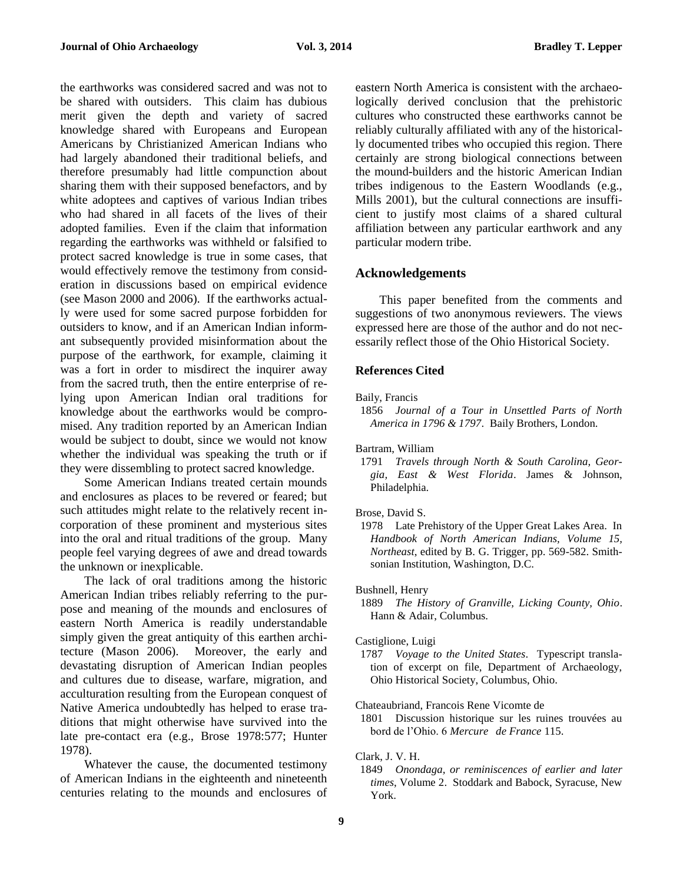the earthworks was considered sacred and was not to be shared with outsiders. This claim has dubious merit given the depth and variety of sacred knowledge shared with Europeans and European Americans by Christianized American Indians who had largely abandoned their traditional beliefs, and therefore presumably had little compunction about sharing them with their supposed benefactors, and by white adoptees and captives of various Indian tribes who had shared in all facets of the lives of their adopted families. Even if the claim that information regarding the earthworks was withheld or falsified to protect sacred knowledge is true in some cases, that would effectively remove the testimony from consideration in discussions based on empirical evidence (see Mason 2000 and 2006). If the earthworks actually were used for some sacred purpose forbidden for outsiders to know, and if an American Indian informant subsequently provided misinformation about the purpose of the earthwork, for example, claiming it was a fort in order to misdirect the inquirer away from the sacred truth, then the entire enterprise of relying upon American Indian oral traditions for knowledge about the earthworks would be compromised. Any tradition reported by an American Indian would be subject to doubt, since we would not know whether the individual was speaking the truth or if they were dissembling to protect sacred knowledge.

Some American Indians treated certain mounds and enclosures as places to be revered or feared; but such attitudes might relate to the relatively recent incorporation of these prominent and mysterious sites into the oral and ritual traditions of the group. Many people feel varying degrees of awe and dread towards the unknown or inexplicable.

The lack of oral traditions among the historic American Indian tribes reliably referring to the purpose and meaning of the mounds and enclosures of eastern North America is readily understandable simply given the great antiquity of this earthen architecture (Mason 2006). Moreover, the early and devastating disruption of American Indian peoples and cultures due to disease, warfare, migration, and acculturation resulting from the European conquest of Native America undoubtedly has helped to erase traditions that might otherwise have survived into the late pre-contact era (e.g., Brose 1978:577; Hunter 1978).

Whatever the cause, the documented testimony of American Indians in the eighteenth and nineteenth centuries relating to the mounds and enclosures of eastern North America is consistent with the archaeologically derived conclusion that the prehistoric cultures who constructed these earthworks cannot be reliably culturally affiliated with any of the historically documented tribes who occupied this region. There certainly are strong biological connections between the mound-builders and the historic American Indian tribes indigenous to the Eastern Woodlands (e.g., Mills 2001), but the cultural connections are insufficient to justify most claims of a shared cultural affiliation between any particular earthwork and any particular modern tribe.

### **Acknowledgements**

This paper benefited from the comments and suggestions of two anonymous reviewers. The views expressed here are those of the author and do not necessarily reflect those of the Ohio Historical Society.

### **References Cited**

Baily, Francis

1856 *Journal of a Tour in Unsettled Parts of North America in 1796 & 1797*. Baily Brothers, London.

Bartram, William

1791 *Travels through North & South Carolina, Georgia, East & West Florida*. James & Johnson, Philadelphia.

### Brose, David S.

1978 Late Prehistory of the Upper Great Lakes Area. In *Handbook of North American Indians, Volume 15, Northeast*, edited by B. G. Trigger, pp. 569-582. Smithsonian Institution, Washington, D.C.

Bushnell, Henry

1889 *The History of Granville, Licking County, Ohio*. Hann & Adair, Columbus.

### Castiglione, Luigi

1787 *Voyage to the United States*. Typescript translation of excerpt on file, Department of Archaeology, Ohio Historical Society, Columbus, Ohio.

### Chateaubriand, Francois Rene Vicomte de

1801 Discussion historique sur les ruines trouvées au bord de l'Ohio. 6 *Mercure de France* 115.

### Clark, J. V. H.

1849 *Onondaga, or reminiscences of earlier and later times*, Volume 2. Stoddark and Babock, Syracuse, New York.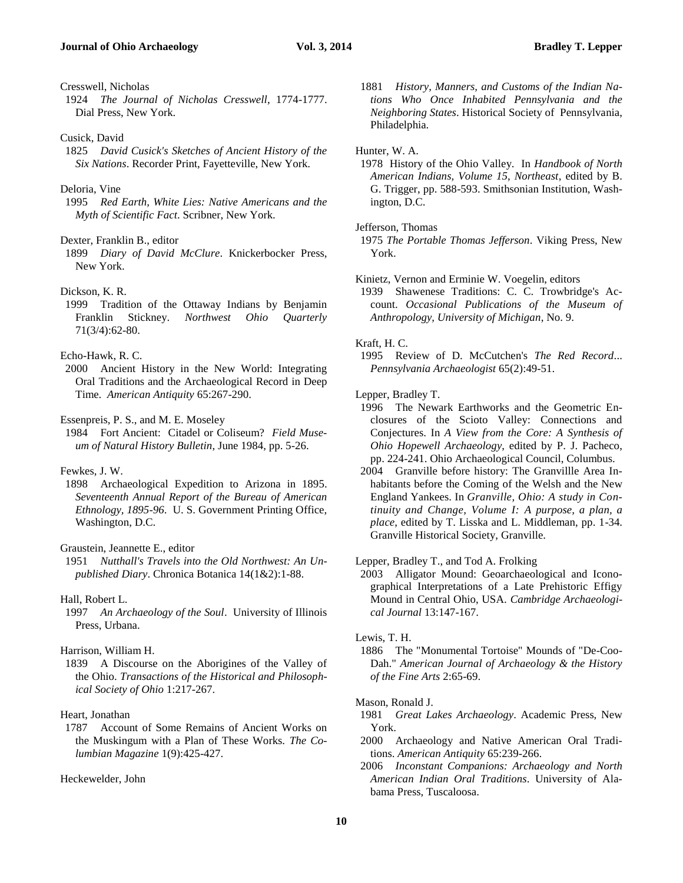Cresswell, Nicholas

- 1924 *The Journal of Nicholas Cresswell*, 1774-1777. Dial Press, New York.
- Cusick, David
- 1825 *David Cusick's Sketches of Ancient History of the Six Nations*. Recorder Print, Fayetteville, New York.
- Deloria, Vine
- 1995 *Red Earth, White Lies: Native Americans and the Myth of Scientific Fact*. Scribner, New York.

#### Dexter, Franklin B., editor

1899 *Diary of David McClure*. Knickerbocker Press, New York.

### Dickson, K. R.

1999 Tradition of the Ottaway Indians by Benjamin Franklin Stickney. *Northwest Ohio Quarterly* 71(3/4):62-80.

### Echo-Hawk, R. C.

2000 Ancient History in the New World: Integrating Oral Traditions and the Archaeological Record in Deep Time. *American Antiquity* 65:267-290.

Essenpreis, P. S., and M. E. Moseley

1984 Fort Ancient: Citadel or Coliseum? *Field Museum of Natural History Bulletin*, June 1984, pp. 5-26.

#### Fewkes, J. W.

1898 Archaeological Expedition to Arizona in 1895. *Seventeenth Annual Report of the Bureau of American Ethnology, 1895-96*. U. S. Government Printing Office, Washington, D.C.

### Graustein, Jeannette E., editor

1951 *Nutthall's Travels into the Old Northwest: An Unpublished Diary*. Chronica Botanica 14(1&2):1-88.

### Hall, Robert L.

1997 *An Archaeology of the Soul*. University of Illinois Press, Urbana.

### Harrison, William H.

1839 A Discourse on the Aborigines of the Valley of the Ohio. *Transactions of the Historical and Philosophical Society of Ohio* 1:217-267.

#### Heart, Jonathan

1787 Account of Some Remains of Ancient Works on the Muskingum with a Plan of These Works. *The Columbian Magazine* 1(9):425-427.

### Heckewelder, John

1881 *History, Manners, and Customs of the Indian Nations Who Once Inhabited Pennsylvania and the Neighboring States*. Historical Society of Pennsylvania, Philadelphia.

### Hunter, W. A.

1978 History of the Ohio Valley. In *Handbook of North American Indians, Volume 15, Northeast*, edited by B. G. Trigger, pp. 588-593. Smithsonian Institution, Washington, D.C.

### Jefferson, Thomas

- Kinietz, Vernon and Erminie W. Voegelin, editors
- 1939 Shawenese Traditions: C. C. Trowbridge's Account. *Occasional Publications of the Museum of Anthropology, University of Michigan*, No. 9.

### Kraft, H. C.

1995 Review of D. McCutchen's *The Red Record*... *Pennsylvania Archaeologist* 65(2):49-51.

### Lepper, Bradley T.

- 1996 The Newark Earthworks and the Geometric Enclosures of the Scioto Valley: Connections and Conjectures. In *A View from the Core: A Synthesis of Ohio Hopewell Archaeology*, edited by P. J. Pacheco, pp. 224-241. Ohio Archaeological Council, Columbus.
- 2004 Granville before history: The Granvillle Area Inhabitants before the Coming of the Welsh and the New England Yankees. In *Granville, Ohio: A study in Continuity and Change, Volume I: A purpose, a plan, a place*, edited by T. Lisska and L. Middleman, pp. 1-34. Granville Historical Society, Granville.

### Lepper, Bradley T., and Tod A. Frolking

2003 Alligator Mound: Geoarchaeological and Iconographical Interpretations of a Late Prehistoric Effigy Mound in Central Ohio, USA. *Cambridge Archaeological Journal* 13:147-167.

#### Lewis, T. H.

1886 The "Monumental Tortoise" Mounds of "De-Coo-Dah." *American Journal of Archaeology & the History of the Fine Arts* 2:65-69.

### Mason, Ronald J.

- 1981 *Great Lakes Archaeology*. Academic Press, New York.
- 2000 Archaeology and Native American Oral Traditions. *American Antiquity* 65:239-266.
- 2006 *Inconstant Companions: Archaeology and North American Indian Oral Traditions*. University of Alabama Press, Tuscaloosa.

<sup>1975</sup> *The Portable Thomas Jefferson*. Viking Press, New York.